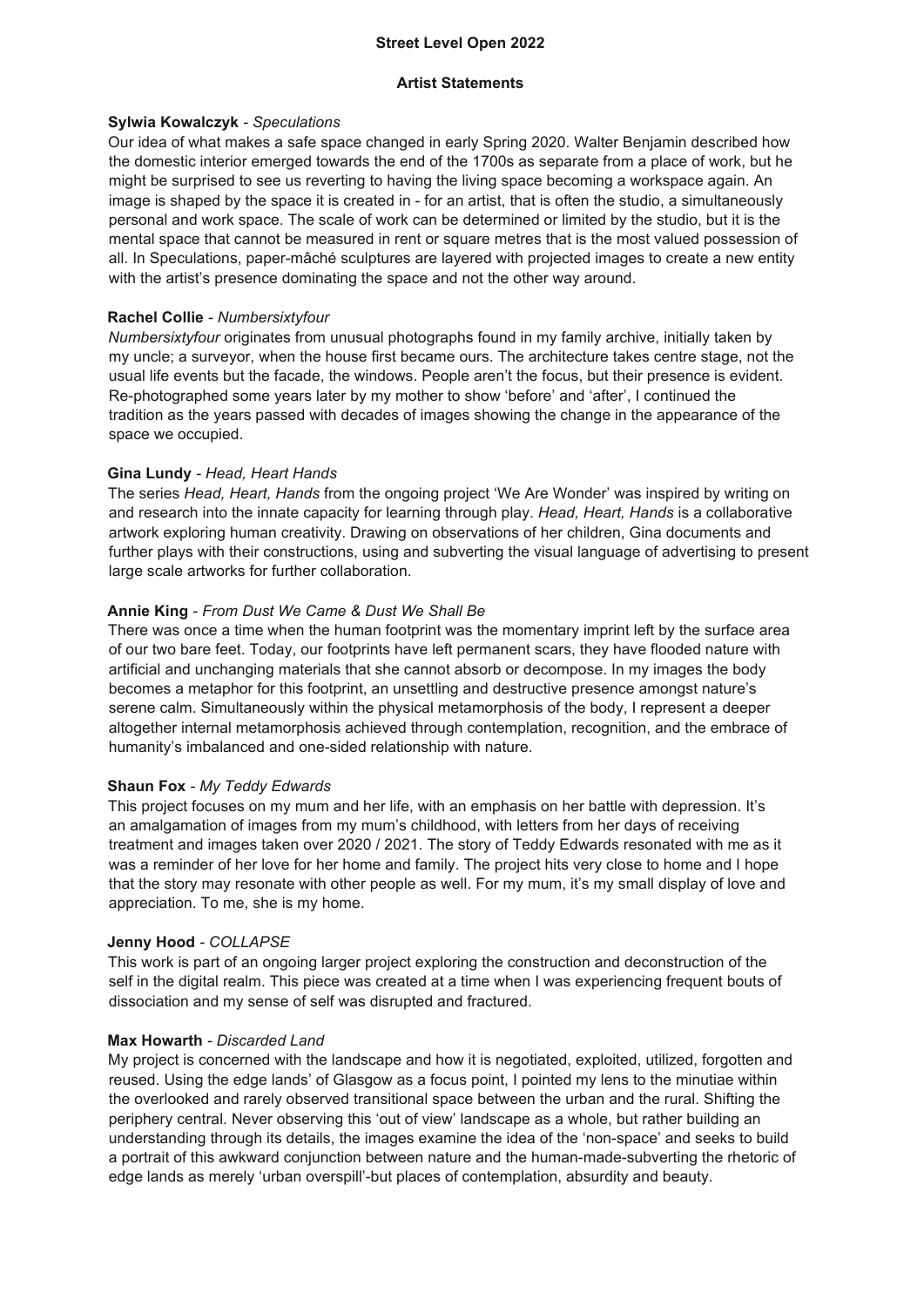### **Street Level Open 2022**

### **Artist Statements**

Our idea of what makes a safe space changed in early Spring 2020. Walter Benjamin described how the domestic interior emerged towards the end of the 1700s as separate from a place of work, but he might be surprised to see us reverting to having the living space becoming a workspace again. An image is shaped by the space it is created in - for an artist, that is often the studio, a simultaneously personal and work space. The scale of work can be determined or limited by the studio, but it is the mental space that cannot be measured in rent or square metres that is the most valued possession of all. In Speculations, paper-mâché sculptures are layered with projected images to create a new entity with the artist's presence dominating the space and not the other way around.

### **Sylwia Kowalczyk** *- Speculations*

### **Rachel Collie** *- Numbersixtyfour*

*Numbersixtyfour* originates from unusual photographs found in my family archive, initially taken by my uncle; a surveyor, when the house first became ours. The architecture takes centre stage, not the usual life events but the facade, the windows. People aren't the focus, but their presence is evident. Re-photographed some years later by my mother to show 'before' and 'after', I continued the tradition as the years passed with decades of images showing the change in the appearance of the space we occupied.

### **Gina Lundy** *- Head, Heart Hands*

The series *Head, Heart, Hands* from the ongoing project 'We Are Wonder' was inspired by writing on and research into the innate capacity for learning through play. *Head, Heart, Hands* is a collaborative artwork exploring human creativity. Drawing on observations of her children, Gina documents and further plays with their constructions, using and subverting the visual language of advertising to present large scale artworks for further collaboration.

### **Annie King** *- From Dust We Came & Dust We Shall Be*

There was once a time when the human footprint was the momentary imprint left by the surface area of our two bare feet. Today, our footprints have left permanent scars, they have flooded nature with artificial and unchanging materials that she cannot absorb or decompose. In my images the body becomes a metaphor for this footprint, an unsettling and destructive presence amongst nature's serene calm. Simultaneously within the physical metamorphosis of the body, I represent a deeper altogether internal metamorphosis achieved through contemplation, recognition, and the embrace of humanity's imbalanced and one-sided relationship with nature.

### **Shaun Fox** *- My Teddy Edwards*

This project focuses on my mum and her life, with an emphasis on her battle with depression. It's an amalgamation of images from my mum's childhood, with letters from her days of receiving treatment and images taken over 2020 / 2021. The story of Teddy Edwards resonated with me as it was a reminder of her love for her home and family. The project hits very close to home and I hope that the story may resonate with other people as well. For my mum, it's my small display of love and appreciation. To me, she is my home.

### **Jenny Hood** *- COLLAPSE*

This work is part of an ongoing larger project exploring the construction and deconstruction of the self in the digital realm. This piece was created at a time when I was experiencing frequent bouts of

# dissociation and my sense of self was disrupted and fractured.

### **Max Howarth** *- Discarded Land*

My project is concerned with the landscape and how it is negotiated, exploited, utilized, forgotten and reused. Using the edge lands' of Glasgow as a focus point, I pointed my lens to the minutiae within the overlooked and rarely observed transitional space between the urban and the rural. Shifting the periphery central. Never observing this 'out of view' landscape as a whole, but rather building an understanding through its details, the images examine the idea of the 'non-space' and seeks to build a portrait of this awkward conjunction between nature and the human-made-subverting the rhetoric of edge lands as merely 'urban overspill'-but places of contemplation, absurdity and beauty.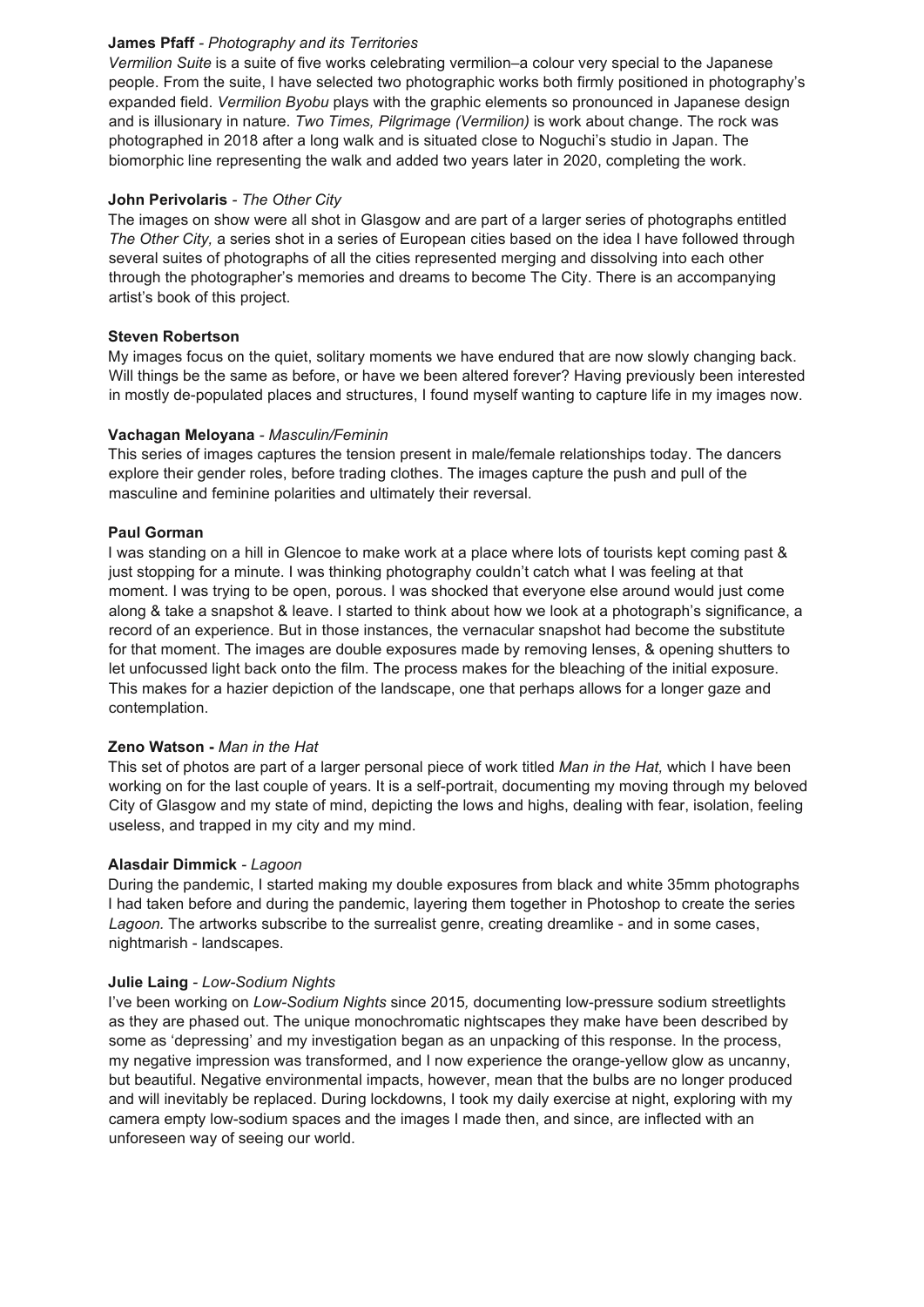### **James Pfaff** *- Photography and its Territories*

*Vermilion Suite* is a suite of five works celebrating vermilion–a colour very special to the Japanese people. From the suite, I have selected two photographic works both firmly positioned in photography's expanded field. *Vermilion Byobu* plays with the graphic elements so pronounced in Japanese design and is illusionary in nature. *Two Times, Pilgrimage (Vermilion)* is work about change. The rock was photographed in 2018 after a long walk and is situated close to Noguchi's studio in Japan. The biomorphic line representing the walk and added two years later in 2020, completing the work.

### **John Perivolaris** *- The Other City*

The images on show were all shot in Glasgow and are part of a larger series of photographs entitled *The Other City,* a series shot in a series of European cities based on the idea I have followed through several suites of photographs of all the cities represented merging and dissolving into each other through the photographer's memories and dreams to become The City. There is an accompanying artist's book of this project.

### **Steven Robertson**

My images focus on the quiet, solitary moments we have endured that are now slowly changing back. Will things be the same as before, or have we been altered forever? Having previously been interested in mostly de-populated places and structures, I found myself wanting to capture life in my images now.

### **Vachagan Meloyana** *- Masculin/Feminin*

This series of images captures the tension present in male/female relationships today. The dancers explore their gender roles, before trading clothes. The images capture the push and pull of the masculine and feminine polarities and ultimately their reversal.

### **Paul Gorman**

I was standing on a hill in Glencoe to make work at a place where lots of tourists kept coming past & just stopping for a minute. I was thinking photography couldn't catch what I was feeling at that moment. I was trying to be open, porous. I was shocked that everyone else around would just come along & take a snapshot & leave. I started to think about how we look at a photograph's significance, a record of an experience. But in those instances, the vernacular snapshot had become the substitute for that moment. The images are double exposures made by removing lenses, & opening shutters to let unfocussed light back onto the film. The process makes for the bleaching of the initial exposure. This makes for a hazier depiction of the landscape, one that perhaps allows for a longer gaze and contemplation.

### **Zeno Watson -** *Man in the Hat*

This set of photos are part of a larger personal piece of work titled *Man in the Hat,* which I have been working on for the last couple of years. It is a self-portrait, documenting my moving through my beloved City of Glasgow and my state of mind, depicting the lows and highs, dealing with fear, isolation, feeling useless, and trapped in my city and my mind.

### **Alasdair Dimmick** *- Lagoon*

During the pandemic, I started making my double exposures from black and white 35mm photographs I had taken before and during the pandemic, layering them together in Photoshop to create the series *Lagoon.* The artworks subscribe to the surrealist genre, creating dreamlike - and in some cases, nightmarish - landscapes.

#### **Julie Laing** *- Low-Sodium Nights*

I've been working on *Low-Sodium Nights* since 2015*,* documenting low-pressure sodium streetlights as they are phased out. The unique monochromatic nightscapes they make have been described by some as 'depressing' and my investigation began as an unpacking of this response. In the process, my negative impression was transformed, and I now experience the orange-yellow glow as uncanny, but beautiful. Negative environmental impacts, however, mean that the bulbs are no longer produced and will inevitably be replaced. During lockdowns, I took my daily exercise at night, exploring with my camera empty low-sodium spaces and the images I made then, and since, are inflected with an unforeseen way of seeing our world.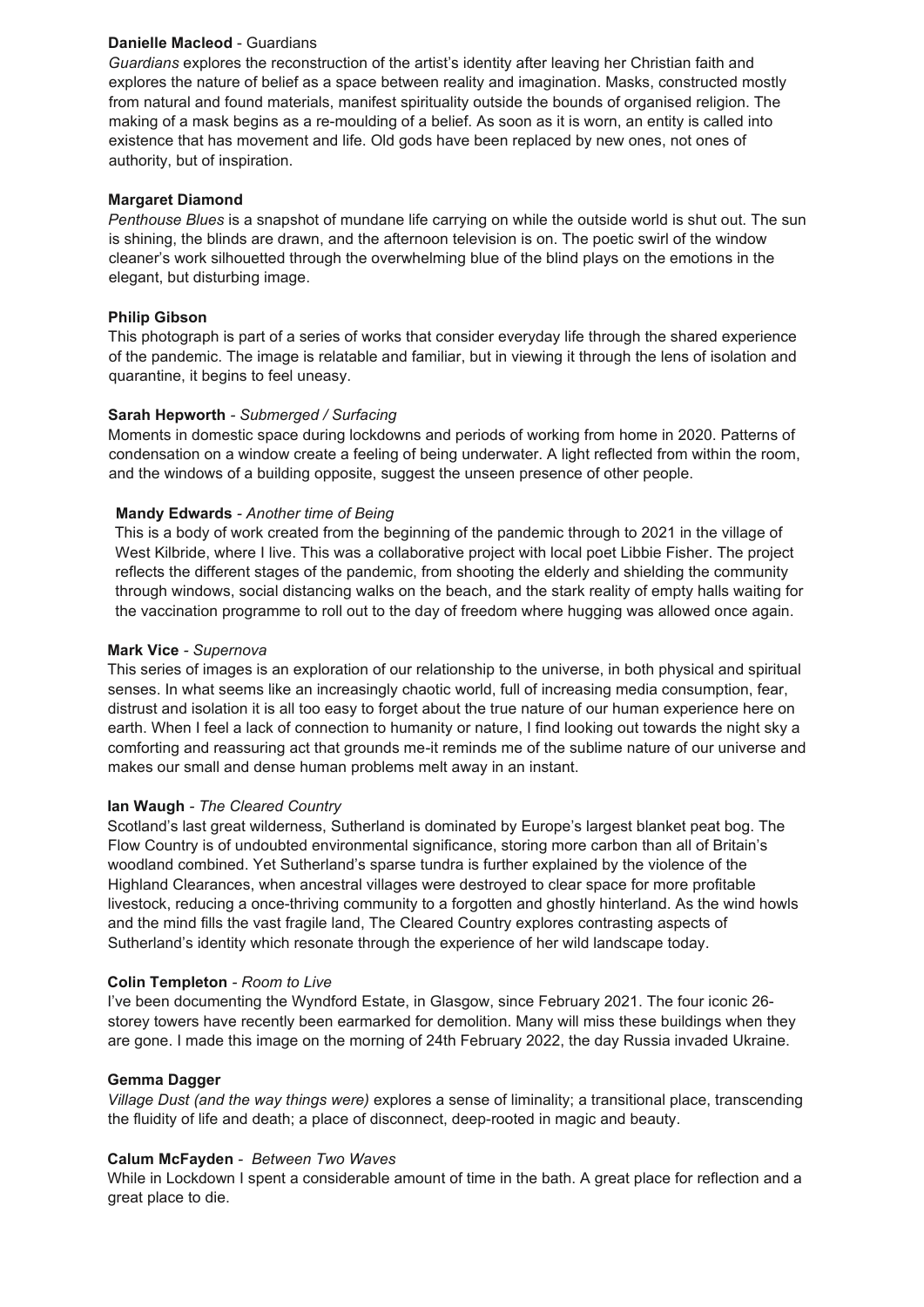### **Danielle Macleod** - Guardians

*Guardians* explores the reconstruction of the artist's identity after leaving her Christian faith and explores the nature of belief as a space between reality and imagination. Masks, constructed mostly from natural and found materials, manifest spirituality outside the bounds of organised religion. The making of a mask begins as a re-moulding of a belief. As soon as it is worn, an entity is called into existence that has movement and life. Old gods have been replaced by new ones, not ones of authority, but of inspiration.

### **Margaret Diamond**

*Penthouse Blues* is a snapshot of mundane life carrying on while the outside world is shut out. The sun is shining, the blinds are drawn, and the afternoon television is on. The poetic swirl of the window cleaner's work silhouetted through the overwhelming blue of the blind plays on the emotions in the elegant, but disturbing image.

### **Philip Gibson**

This photograph is part of a series of works that consider everyday life through the shared experience of the pandemic. The image is relatable and familiar, but in viewing it through the lens of isolation and quarantine, it begins to feel uneasy.

### **Sarah Hepworth** *- Submerged / Surfacing*

Moments in domestic space during lockdowns and periods of working from home in 2020. Patterns of condensation on a window create a feeling of being underwater. A light reflected from within the room, and the windows of a building opposite, suggest the unseen presence of other people.

### **Mandy Edwards** *- Another time of Being*

This is a body of work created from the beginning of the pandemic through to 2021 in the village of West Kilbride, where I live. This was a collaborative project with local poet Libbie Fisher. The project reflects the different stages of the pandemic, from shooting the elderly and shielding the community through windows, social distancing walks on the beach, and the stark reality of empty halls waiting for the vaccination programme to roll out to the day of freedom where hugging was allowed once again.

### **Mark Vice** *- Supernova*

This series of images is an exploration of our relationship to the universe, in both physical and spiritual senses. In what seems like an increasingly chaotic world, full of increasing media consumption, fear, distrust and isolation it is all too easy to forget about the true nature of our human experience here on earth. When I feel a lack of connection to humanity or nature, I find looking out towards the night sky a comforting and reassuring act that grounds me-it reminds me of the sublime nature of our universe and makes our small and dense human problems melt away in an instant.

### **Ian Waugh** *- The Cleared Country*

Scotland's last great wilderness, Sutherland is dominated by Europe's largest blanket peat bog. The Flow Country is of undoubted environmental significance, storing more carbon than all of Britain's woodland combined. Yet Sutherland's sparse tundra is further explained by the violence of the Highland Clearances, when ancestral villages were destroyed to clear space for more profitable livestock, reducing a once-thriving community to a forgotten and ghostly hinterland. As the wind howls and the mind fills the vast fragile land, The Cleared Country explores contrasting aspects of Sutherland's identity which resonate through the experience of her wild landscape today.

#### **Colin Templeton** *- Room to Live*

I've been documenting the Wyndford Estate, in Glasgow, since February 2021. The four iconic 26 storey towers have recently been earmarked for demolition. Many will miss these buildings when they are gone. I made this image on the morning of 24th February 2022, the day Russia invaded Ukraine.

### **Gemma Dagger**

*Village Dust (and the way things were)* explores a sense of liminality; a transitional place, transcending the fluidity of life and death; a place of disconnect, deep-rooted in magic and beauty.

#### **Calum McFayden** *- Between Two Waves*

While in Lockdown I spent a considerable amount of time in the bath. A great place for reflection and a great place to die.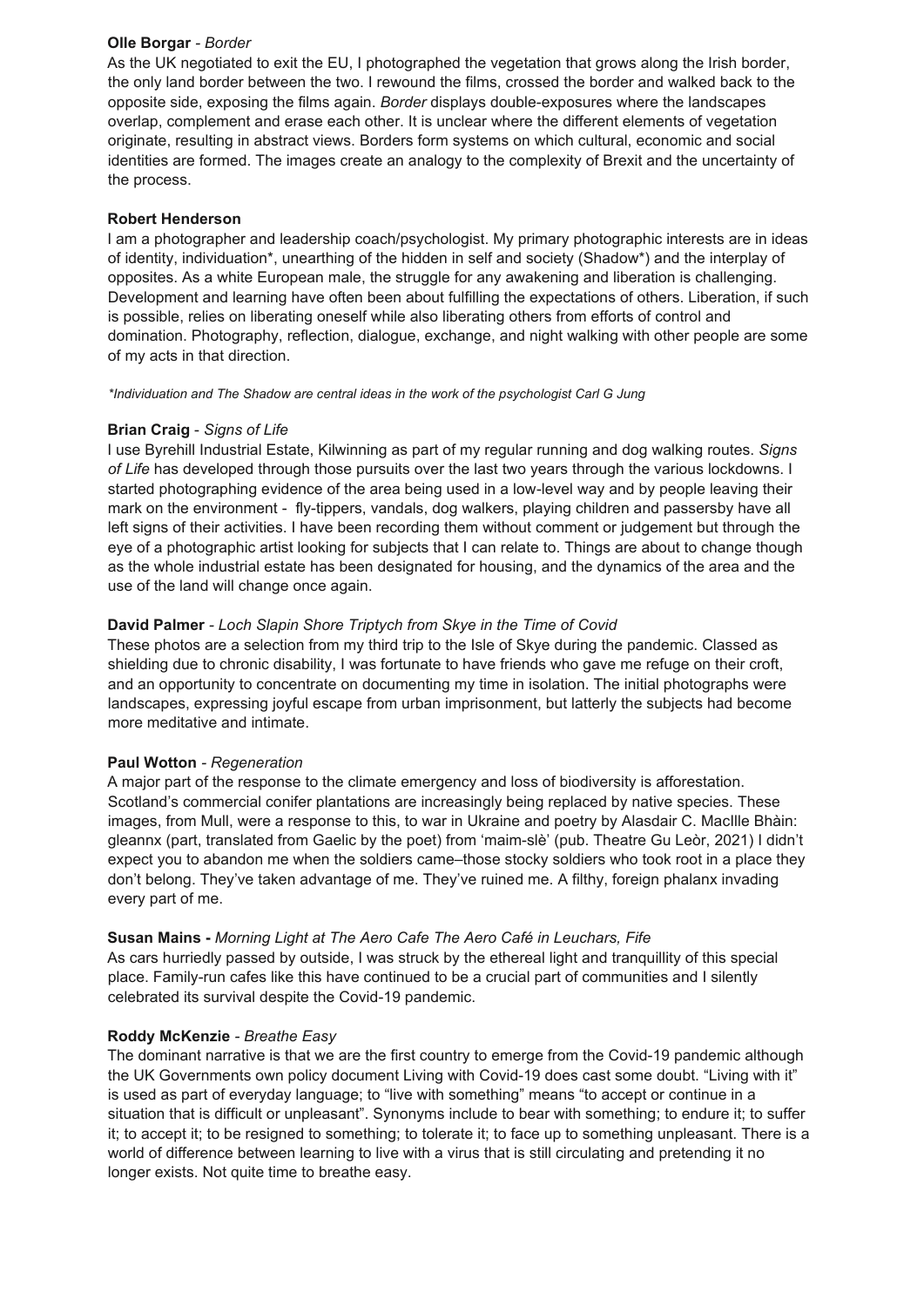### **Olle Borgar** *- Border*

As the UK negotiated to exit the EU, I photographed the vegetation that grows along the Irish border, the only land border between the two. I rewound the films, crossed the border and walked back to the opposite side, exposing the films again. *Border* displays double-exposures where the landscapes overlap, complement and erase each other. It is unclear where the different elements of vegetation originate, resulting in abstract views. Borders form systems on which cultural, economic and social identities are formed. The images create an analogy to the complexity of Brexit and the uncertainty of the process.

### **Robert Henderson**

I am a photographer and leadership coach/psychologist. My primary photographic interests are in ideas of identity, individuation\*, unearthing of the hidden in self and society (Shadow\*) and the interplay of opposites. As a white European male, the struggle for any awakening and liberation is challenging. Development and learning have often been about fulfilling the expectations of others. Liberation, if such is possible, relies on liberating oneself while also liberating others from efforts of control and domination. Photography, reflection, dialogue, exchange, and night walking with other people are some of my acts in that direction.

*\*Individuation and The Shadow are central ideas in the work of the psychologist Carl G Jung*

### **Brian Craig** - *Signs of Life*

I use Byrehill Industrial Estate, Kilwinning as part of my regular running and dog walking routes. *Signs of Life* has developed through those pursuits over the last two years through the various lockdowns. I started photographing evidence of the area being used in a low-level way and by people leaving their mark on the environment - fly-tippers, vandals, dog walkers, playing children and passersby have all left signs of their activities. I have been recording them without comment or judgement but through the eye of a photographic artist looking for subjects that I can relate to. Things are about to change though as the whole industrial estate has been designated for housing, and the dynamics of the area and the use of the land will change once again.

### **David Palmer** *- Loch Slapin Shore Triptych from Skye in the Time of Covid*

These photos are a selection from my third trip to the Isle of Skye during the pandemic. Classed as shielding due to chronic disability, I was fortunate to have friends who gave me refuge on their croft, and an opportunity to concentrate on documenting my time in isolation. The initial photographs were landscapes, expressing joyful escape from urban imprisonment, but latterly the subjects had become more meditative and intimate.

### **Paul Wotton** *- Regeneration*

A major part of the response to the climate emergency and loss of biodiversity is afforestation. Scotland's commercial conifer plantations are increasingly being replaced by native species. These images, from Mull, were a response to this, to war in Ukraine and poetry by Alasdair C. MacIlle Bhàin: gleannx (part, translated from Gaelic by the poet) from 'maim-slè' (pub. Theatre Gu Leòr, 2021) I didn't expect you to abandon me when the soldiers came–those stocky soldiers who took root in a place they don't belong. They've taken advantage of me. They've ruined me. A filthy, foreign phalanx invading every part of me.

# **Susan Mains -** *Morning Light at The Aero Cafe The Aero Café in Leuchars, Fife*

As cars hurriedly passed by outside, I was struck by the ethereal light and tranquillity of this special place. Family-run cafes like this have continued to be a crucial part of communities and I silently

celebrated its survival despite the Covid-19 pandemic.

### **Roddy McKenzie** *- Breathe Easy*

The dominant narrative is that we are the first country to emerge from the Covid-19 pandemic although the UK Governments own policy document Living with Covid-19 does cast some doubt. "Living with it" is used as part of everyday language; to "live with something" means "to accept or continue in a situation that is difficult or unpleasant". Synonyms include to bear with something; to endure it; to suffer it; to accept it; to be resigned to something; to tolerate it; to face up to something unpleasant. There is a world of difference between learning to live with a virus that is still circulating and pretending it no longer exists. Not quite time to breathe easy.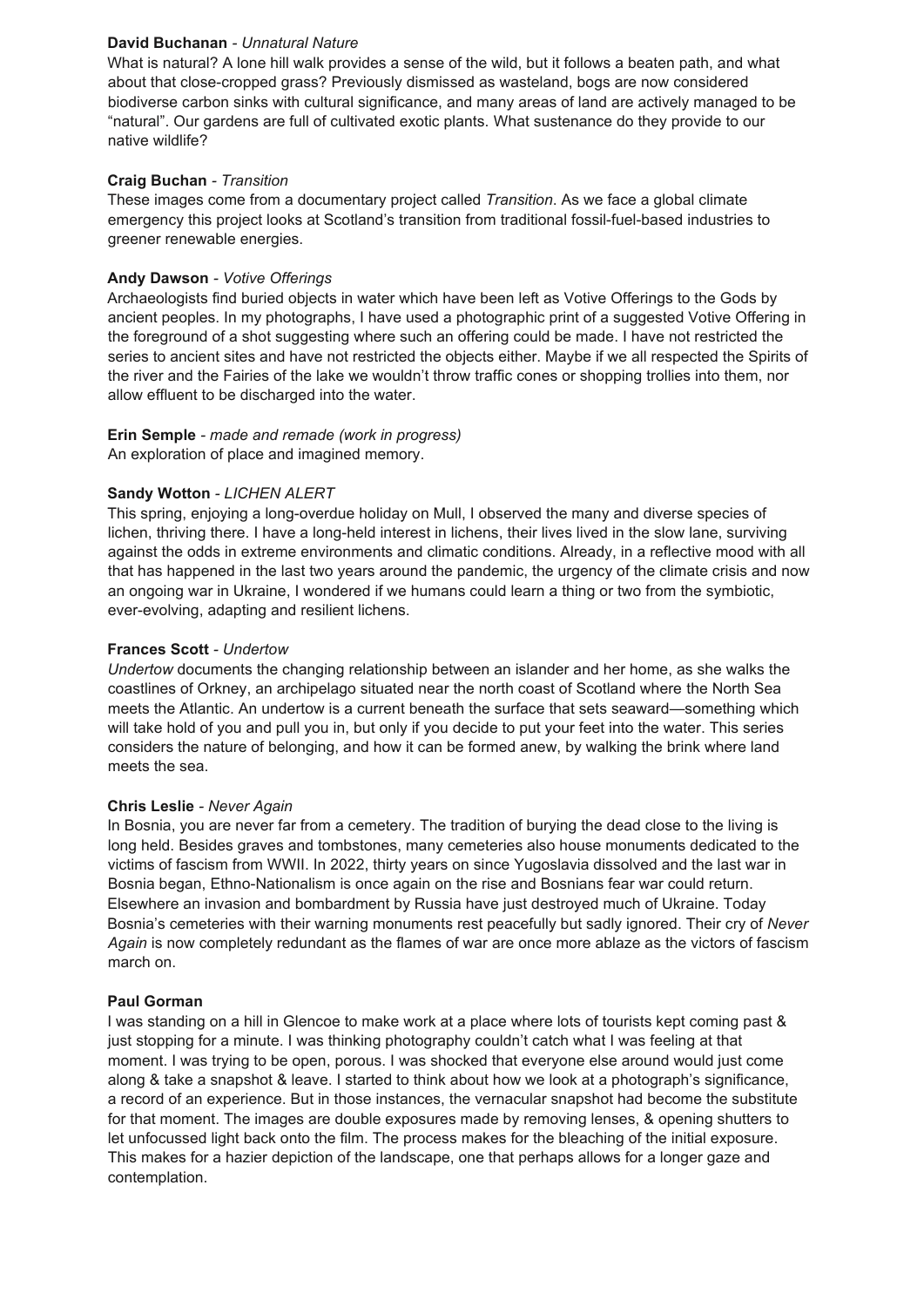### **David Buchanan** *- Unnatural Nature*

What is natural? A lone hill walk provides a sense of the wild, but it follows a beaten path, and what about that close-cropped grass? Previously dismissed as wasteland, bogs are now considered biodiverse carbon sinks with cultural significance, and many areas of land are actively managed to be "natural". Our gardens are full of cultivated exotic plants. What sustenance do they provide to our native wildlife?

### **Craig Buchan** *- Transition*

These images come from a documentary project called *Transition*. As we face a global climate emergency this project looks at Scotland's transition from traditional fossil-fuel-based industries to greener renewable energies.

### **Andy Dawson** *- Votive Offerings*

Archaeologists find buried objects in water which have been left as Votive Offerings to the Gods by ancient peoples. In my photographs, I have used a photographic print of a suggested Votive Offering in the foreground of a shot suggesting where such an offering could be made. I have not restricted the series to ancient sites and have not restricted the objects either. Maybe if we all respected the Spirits of the river and the Fairies of the lake we wouldn't throw traffic cones or shopping trollies into them, nor allow effluent to be discharged into the water.

# **Erin Semple** *- made and remade (work in progress)*

An exploration of place and imagined memory.

# **Sandy Wotton** *- LICHEN ALERT*

This spring, enjoying a long-overdue holiday on Mull, I observed the many and diverse species of lichen, thriving there. I have a long-held interest in lichens, their lives lived in the slow lane, surviving against the odds in extreme environments and climatic conditions. Already, in a reflective mood with all that has happened in the last two years around the pandemic, the urgency of the climate crisis and now an ongoing war in Ukraine, I wondered if we humans could learn a thing or two from the symbiotic, ever-evolving, adapting and resilient lichens.

### **Frances Scott** *- Undertow*

*Undertow* documents the changing relationship between an islander and her home, as she walks the coastlines of Orkney, an archipelago situated near the north coast of Scotland where the North Sea meets the Atlantic. An undertow is a current beneath the surface that sets seaward—something which will take hold of you and pull you in, but only if you decide to put your feet into the water. This series considers the nature of belonging, and how it can be formed anew, by walking the brink where land meets the sea.

### **Chris Leslie** *- Never Again*

In Bosnia, you are never far from a cemetery. The tradition of burying the dead close to the living is long held. Besides graves and tombstones, many cemeteries also house monuments dedicated to the victims of fascism from WWII. In 2022, thirty years on since Yugoslavia dissolved and the last war in Bosnia began, Ethno-Nationalism is once again on the rise and Bosnians fear war could return. Elsewhere an invasion and bombardment by Russia have just destroyed much of Ukraine. Today Bosnia's cemeteries with their warning monuments rest peacefully but sadly ignored. Their cry of *Never Again* is now completely redundant as the flames of war are once more ablaze as the victors of fascism march on.

### **Paul Gorman**

I was standing on a hill in Glencoe to make work at a place where lots of tourists kept coming past & just stopping for a minute. I was thinking photography couldn't catch what I was feeling at that moment. I was trying to be open, porous. I was shocked that everyone else around would just come along & take a snapshot & leave. I started to think about how we look at a photograph's significance, a record of an experience. But in those instances, the vernacular snapshot had become the substitute for that moment. The images are double exposures made by removing lenses, & opening shutters to let unfocussed light back onto the film. The process makes for the bleaching of the initial exposure. This makes for a hazier depiction of the landscape, one that perhaps allows for a longer gaze and contemplation.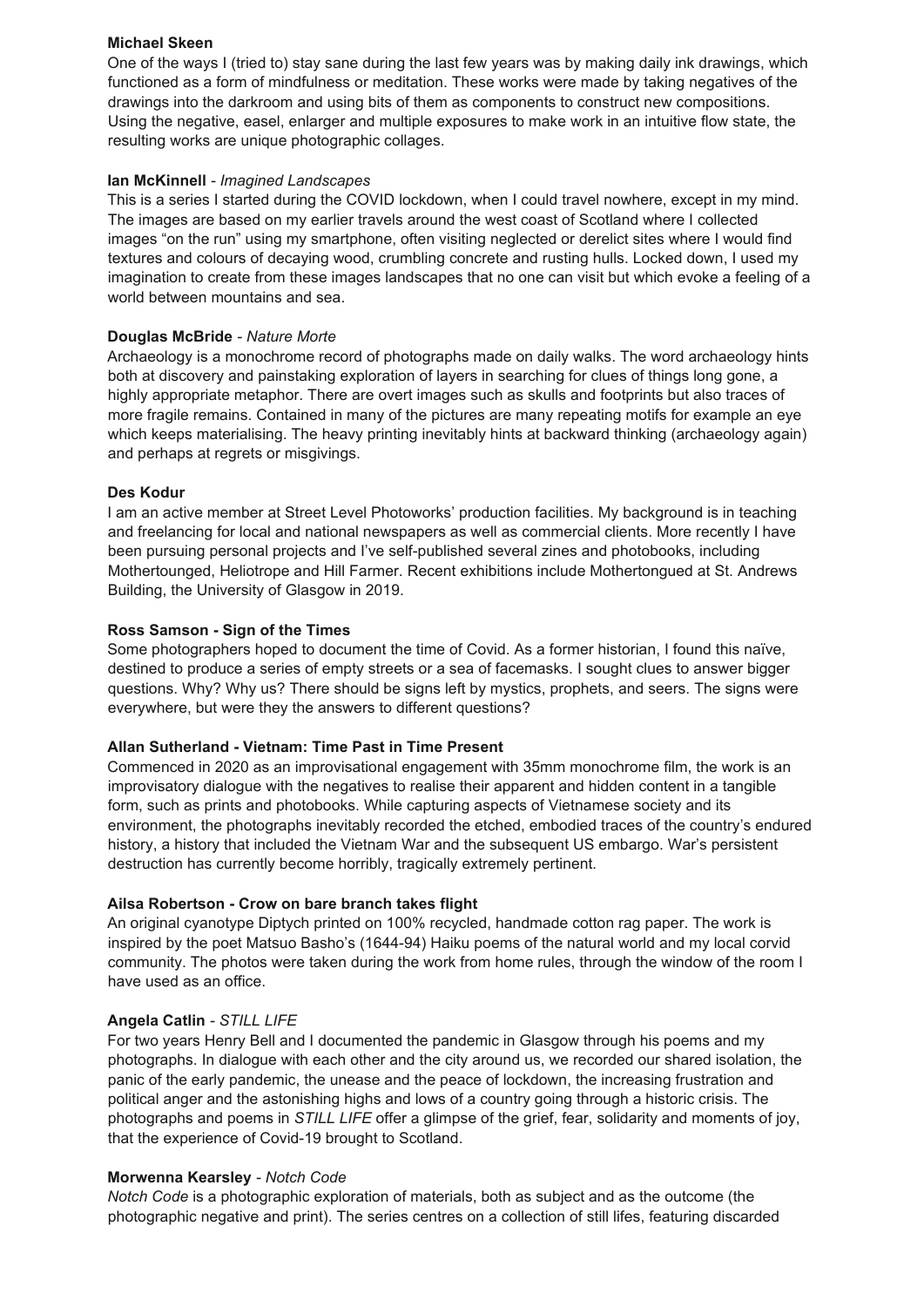### **Michael Skeen**

One of the ways I (tried to) stay sane during the last few years was by making daily ink drawings, which functioned as a form of mindfulness or meditation. These works were made by taking negatives of the drawings into the darkroom and using bits of them as components to construct new compositions. Using the negative, easel, enlarger and multiple exposures to make work in an intuitive flow state, the resulting works are unique photographic collages.

# **Ian McKinnell** *- Imagined Landscapes*

This is a series I started during the COVID lockdown, when I could travel nowhere, except in my mind. The images are based on my earlier travels around the west coast of Scotland where I collected images "on the run" using my smartphone, often visiting neglected or derelict sites where I would find textures and colours of decaying wood, crumbling concrete and rusting hulls. Locked down, I used my imagination to create from these images landscapes that no one can visit but which evoke a feeling of a world between mountains and sea.

# **Douglas McBride** *- Nature Morte*

Archaeology is a monochrome record of photographs made on daily walks. The word archaeology hints both at discovery and painstaking exploration of layers in searching for clues of things long gone, a highly appropriate metaphor. There are overt images such as skulls and footprints but also traces of more fragile remains. Contained in many of the pictures are many repeating motifs for example an eye which keeps materialising. The heavy printing inevitably hints at backward thinking (archaeology again) and perhaps at regrets or misgivings.

# **Des Kodur**

I am an active member at Street Level Photoworks' production facilities. My background is in teaching and freelancing for local and national newspapers as well as commercial clients. More recently I have been pursuing personal projects and I've self-published several zines and photobooks, including Mothertounged, Heliotrope and Hill Farmer. Recent exhibitions include Mothertongued at St. Andrews Building, the University of Glasgow in 2019.

### **Ross Samson - Sign of the Times**

Some photographers hoped to document the time of Covid. As a former historian, I found this naïve, destined to produce a series of empty streets or a sea of facemasks. I sought clues to answer bigger questions. Why? Why us? There should be signs left by mystics, prophets, and seers. The signs were everywhere, but were they the answers to different questions?

# **Allan Sutherland - Vietnam: Time Past in Time Present**

Commenced in 2020 as an improvisational engagement with 35mm monochrome film, the work is an improvisatory dialogue with the negatives to realise their apparent and hidden content in a tangible form, such as prints and photobooks. While capturing aspects of Vietnamese society and its environment, the photographs inevitably recorded the etched, embodied traces of the country's endured history, a history that included the Vietnam War and the subsequent US embargo. War's persistent destruction has currently become horribly, tragically extremely pertinent*.*

# **Ailsa Robertson - Crow on bare branch takes flight**

An original cyanotype Diptych printed on 100% recycled, handmade cotton rag paper. The work is inspired by the poet Matsuo Basho's (1644-94) Haiku poems of the natural world and my local corvid community. The photos were taken during the work from home rules, through the window of the room I have used as an office.

### **Angela Catlin** *- STILL LIFE*

For two years Henry Bell and I documented the pandemic in Glasgow through his poems and my photographs. In dialogue with each other and the city around us, we recorded our shared isolation, the panic of the early pandemic, the unease and the peace of lockdown, the increasing frustration and political anger and the astonishing highs and lows of a country going through a historic crisis. The photographs and poems in *STILL LIFE* offer a glimpse of the grief, fear, solidarity and moments of joy, that the experience of Covid-19 brought to Scotland.

### **Morwenna Kearsley** *- Notch Code*

*Notch Code* is a photographic exploration of materials, both as subject and as the outcome (the photographic negative and print). The series centres on a collection of still lifes, featuring discarded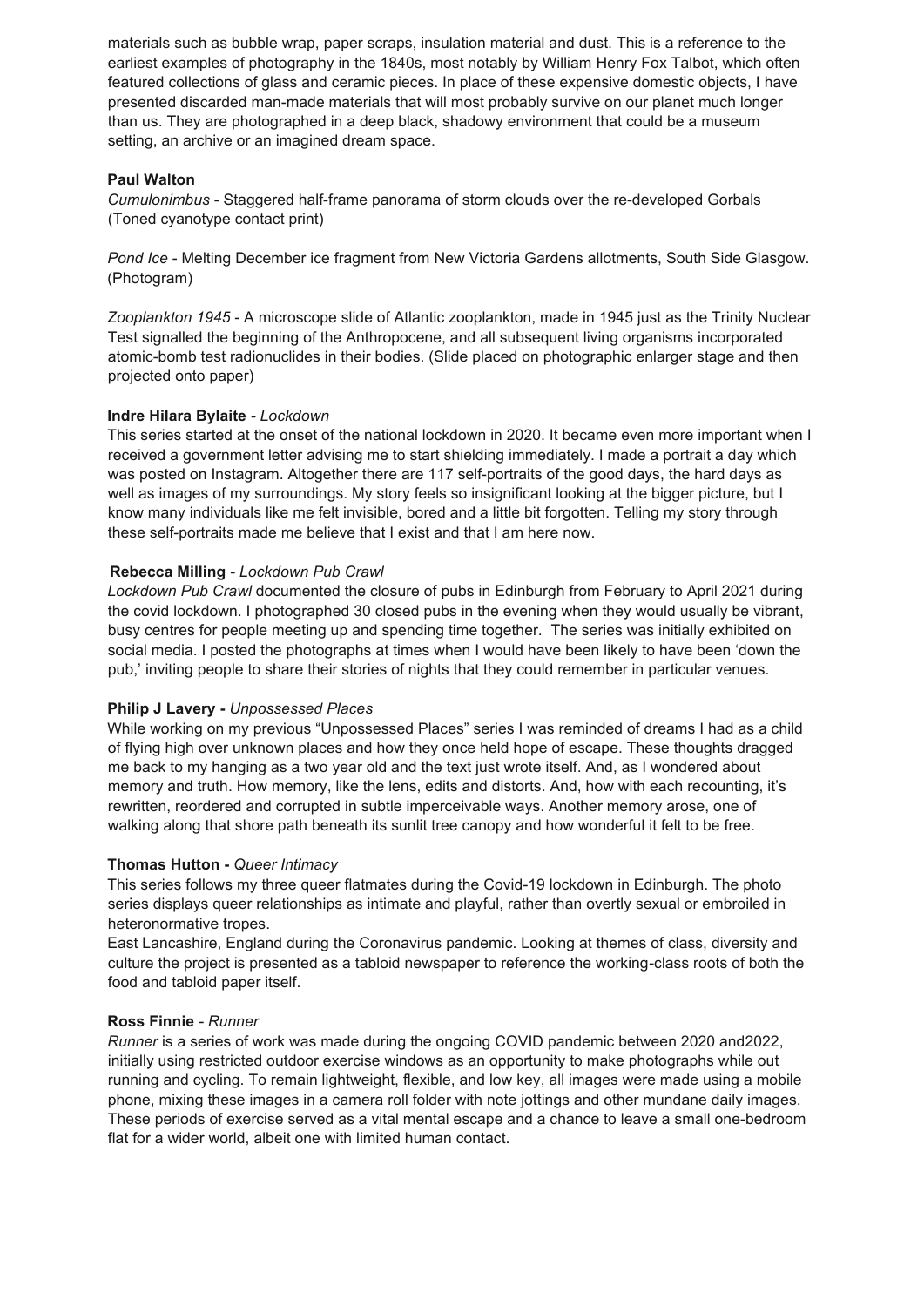materials such as bubble wrap, paper scraps, insulation material and dust. This is a reference to the earliest examples of photography in the 1840s, most notably by William Henry Fox Talbot, which often featured collections of glass and ceramic pieces. In place of these expensive domestic objects, I have presented discarded man-made materials that will most probably survive on our planet much longer than us. They are photographed in a deep black, shadowy environment that could be a museum setting, an archive or an imagined dream space.

### **Paul Walton**

*Cumulonimbus* - Staggered half-frame panorama of storm clouds over the re-developed Gorbals (Toned cyanotype contact print)

*Pond Ice* - Melting December ice fragment from New Victoria Gardens allotments, South Side Glasgow. (Photogram)

*Zooplankton 1945* - A microscope slide of Atlantic zooplankton, made in 1945 just as the Trinity Nuclear Test signalled the beginning of the Anthropocene, and all subsequent living organisms incorporated atomic-bomb test radionuclides in their bodies. (Slide placed on photographic enlarger stage and then projected onto paper)

### **Indre Hilara Bylaite** *- Lockdown*

This series started at the onset of the national lockdown in 2020. It became even more important when I received a government letter advising me to start shielding immediately. I made a portrait a day which was posted on Instagram. Altogether there are 117 self-portraits of the good days, the hard days as well as images of my surroundings. My story feels so insignificant looking at the bigger picture, but I know many individuals like me felt invisible, bored and a little bit forgotten. Telling my story through these self-portraits made me believe that I exist and that I am here now.

### **Rebecca Milling** *- Lockdown Pub Crawl*

*Runner* is a series of work was made during the ongoing COVID pandemic between 2020 and 2022, initially using restricted outdoor exercise windows as an opportunity to make photographs while out running and cycling. To remain lightweight, flexible, and low key, all images were made using a mobile phone, mixing these images in a camera roll folder with note jottings and other mundane daily images. These periods of exercise served as a vital mental escape and a chance to leave a small one-bedroom flat for a wider world, albeit one with limited human contact.

*Lockdown Pub Crawl* documented the closure of pubs in Edinburgh from February to April 2021 during the covid lockdown. I photographed 30 closed pubs in the evening when they would usually be vibrant, busy centres for people meeting up and spending time together. The series was initially exhibited on social media. I posted the photographs at times when I would have been likely to have been 'down the pub,' inviting people to share their stories of nights that they could remember in particular venues.

### **Philip J Lavery -** *Unpossessed Places*

While working on my previous "Unpossessed Places" series I was reminded of dreams I had as a child of flying high over unknown places and how they once held hope of escape. These thoughts dragged me back to my hanging as a two year old and the text just wrote itself. And, as I wondered about memory and truth. How memory, like the lens, edits and distorts. And, how with each recounting, it's rewritten, reordered and corrupted in subtle imperceivable ways. Another memory arose, one of walking along that shore path beneath its sunlit tree canopy and how wonderful it felt to be free.

### **Thomas Hutton -** *Queer Intimacy*

This series follows my three queer flatmates during the Covid-19 lockdown in Edinburgh. The photo series displays queer relationships as intimate and playful, rather than overtly sexual or embroiled in heteronormative tropes.

East Lancashire, England during the Coronavirus pandemic. Looking at themes of class, diversity and culture the project is presented as a tabloid newspaper to reference the working-class roots of both the food and tabloid paper itself.

#### **Ross Finnie** *- Runner*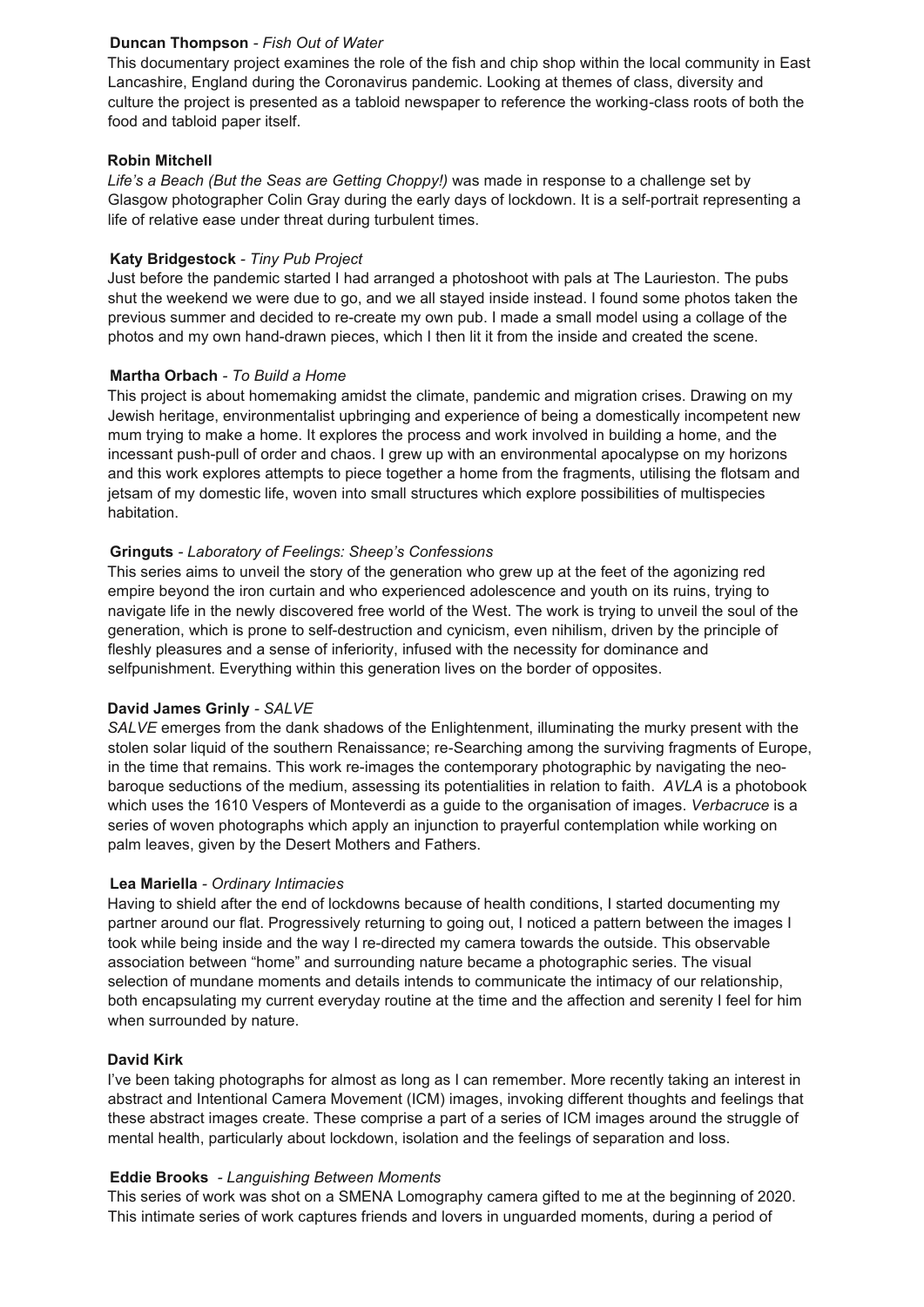### **Duncan Thompson** *- Fish Out of Water*

This documentary project examines the role of the fish and chip shop within the local community in East Lancashire, England during the Coronavirus pandemic. Looking at themes of class, diversity and culture the project is presented as a tabloid newspaper to reference the working-class roots of both the food and tabloid paper itself.

### **Robin Mitchell**

*Life's a Beach (But the Seas are Getting Choppy!)* was made in response to a challenge set by Glasgow photographer Colin Gray during the early days of lockdown. It is a self-portrait representing a life of relative ease under threat during turbulent times.

# **Katy Bridgestock** *- Tiny Pub Project*

Just before the pandemic started I had arranged a photoshoot with pals at The Laurieston. The pubs shut the weekend we were due to go, and we all stayed inside instead. I found some photos taken the previous summer and decided to re-create my own pub. I made a small model using a collage of the photos and my own hand-drawn pieces, which I then lit it from the inside and created the scene.

### **Martha Orbach** *- To Build a Home*

This project is about homemaking amidst the climate, pandemic and migration crises. Drawing on my Jewish heritage, environmentalist upbringing and experience of being a domestically incompetent new mum trying to make a home. It explores the process and work involved in building a home, and the incessant push-pull of order and chaos. I grew up with an environmental apocalypse on my horizons and this work explores attempts to piece together a home from the fragments, utilising the flotsam and jetsam of my domestic life, woven into small structures which explore possibilities of multispecies habitation.

### **Gringuts** *- Laboratory of Feelings: Sheep's Confessions*

This series aims to unveil the story of the generation who grew up at the feet of the agonizing red empire beyond the iron curtain and who experienced adolescence and youth on its ruins, trying to navigate life in the newly discovered free world of the West. The work is trying to unveil the soul of the generation, which is prone to self-destruction and cynicism, even nihilism, driven by the principle of fleshly pleasures and a sense of inferiority, infused with the necessity for dominance and selfpunishment. Everything within this generation lives on the border of opposites.

# **David James Grinly** *- SALVE*

*SALVE* emerges from the dank shadows of the Enlightenment, illuminating the murky present with the stolen solar liquid of the southern Renaissance; re-Searching among the surviving fragments of Europe, in the time that remains. This work re-images the contemporary photographic by navigating the neobaroque seductions of the medium, assessing its potentialities in relation to faith. *AVLA* is a photobook which uses the 1610 Vespers of Monteverdi as a guide to the organisation of images. *Verbacruce* is a series of woven photographs which apply an injunction to prayerful contemplation while working on palm leaves, given by the Desert Mothers and Fathers.

### **Lea Mariella** *- Ordinary Intimacies*

Having to shield after the end of lockdowns because of health conditions, I started documenting my partner around our flat. Progressively returning to going out, I noticed a pattern between the images I took while being inside and the way I re-directed my camera towards the outside. This observable association between "home" and surrounding nature became a photographic series. The visual selection of mundane moments and details intends to communicate the intimacy of our relationship,

both encapsulating my current everyday routine at the time and the affection and serenity I feel for him when surrounded by nature.

### **David Kirk**

I've been taking photographs for almost as long as I can remember. More recently taking an interest in abstract and Intentional Camera Movement (ICM) images, invoking different thoughts and feelings that these abstract images create. These comprise a part of a series of ICM images around the struggle of mental health, particularly about lockdown, isolation and the feelings of separation and loss.

### **Eddie Brooks** *- Languishing Between Moments*

This series of work was shot on a SMENA Lomography camera gifted to me at the beginning of 2020. This intimate series of work captures friends and lovers in unguarded moments, during a period of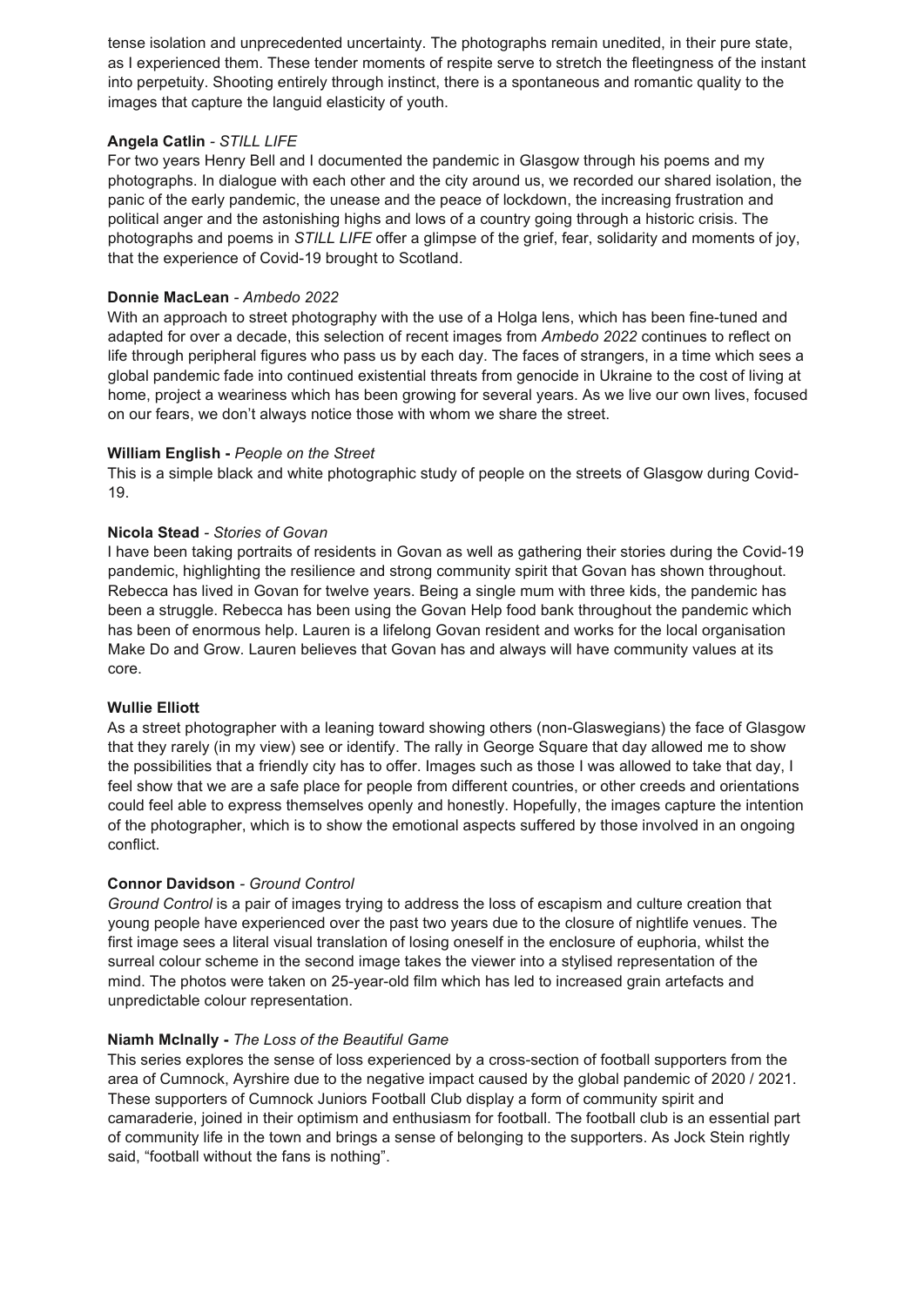tense isolation and unprecedented uncertainty. The photographs remain unedited, in their pure state, as I experienced them. These tender moments of respite serve to stretch the fleetingness of the instant into perpetuity. Shooting entirely through instinct, there is a spontaneous and romantic quality to the images that capture the languid elasticity of youth.

### **Angela Catlin** *- STILL LIFE*

For two years Henry Bell and I documented the pandemic in Glasgow through his poems and my photographs. In dialogue with each other and the city around us, we recorded our shared isolation, the panic of the early pandemic, the unease and the peace of lockdown, the increasing frustration and political anger and the astonishing highs and lows of a country going through a historic crisis. The photographs and poems in *STILL LIFE* offer a glimpse of the grief, fear, solidarity and moments of joy, that the experience of Covid-19 brought to Scotland.

### **Donnie MacLean** *- Ambedo 2022*

With an approach to street photography with the use of a Holga lens, which has been fine-tuned and adapted for over a decade, this selection of recent images from *Ambedo 2022* continues to reflect on life through peripheral figures who pass us by each day. The faces of strangers, in a time which sees a global pandemic fade into continued existential threats from genocide in Ukraine to the cost of living at home, project a weariness which has been growing for several years. As we live our own lives, focused on our fears, we don't always notice those with whom we share the street.

### **William English -** *People on the Street*

This is a simple black and white photographic study of people on the streets of Glasgow during Covid-19.

### **Nicola Stead** *- Stories of Govan*

I have been taking portraits of residents in Govan as well as gathering their stories during the Covid-19 pandemic, highlighting the resilience and strong community spirit that Govan has shown throughout. Rebecca has lived in Govan for twelve years. Being a single mum with three kids, the pandemic has been a struggle. Rebecca has been using the Govan Help food bank throughout the pandemic which has been of enormous help. Lauren is a lifelong Govan resident and works for the local organisation Make Do and Grow. Lauren believes that Govan has and always will have community values at its core.

### **Wullie Elliott**

As a street photographer with a leaning toward showing others (non-Glaswegians) the face of Glasgow that they rarely (in my view) see or identify. The rally in George Square that day allowed me to show the possibilities that a friendly city has to offer. Images such as those I was allowed to take that day, I feel show that we are a safe place for people from different countries, or other creeds and orientations could feel able to express themselves openly and honestly. Hopefully, the images capture the intention of the photographer, which is to show the emotional aspects suffered by those involved in an ongoing conflict.

### **Connor Davidson** *- Ground Control*

*Ground Control* is a pair of images trying to address the loss of escapism and culture creation that young people have experienced over the past two years due to the closure of nightlife venues. The first image sees a literal visual translation of losing oneself in the enclosure of euphoria, whilst the surreal colour scheme in the second image takes the viewer into a stylised representation of the mind. The photos were taken on 25-year-old film which has led to increased grain artefacts and

# unpredictable colour representation.

### **Niamh McInally -** *The Loss of the Beautiful Game*

This series explores the sense of loss experienced by a cross-section of football supporters from the area of Cumnock, Ayrshire due to the negative impact caused by the global pandemic of 2020 / 2021. These supporters of Cumnock Juniors Football Club display a form of community spirit and camaraderie, joined in their optimism and enthusiasm for football. The football club is an essential part of community life in the town and brings a sense of belonging to the supporters. As Jock Stein rightly said, "football without the fans is nothing".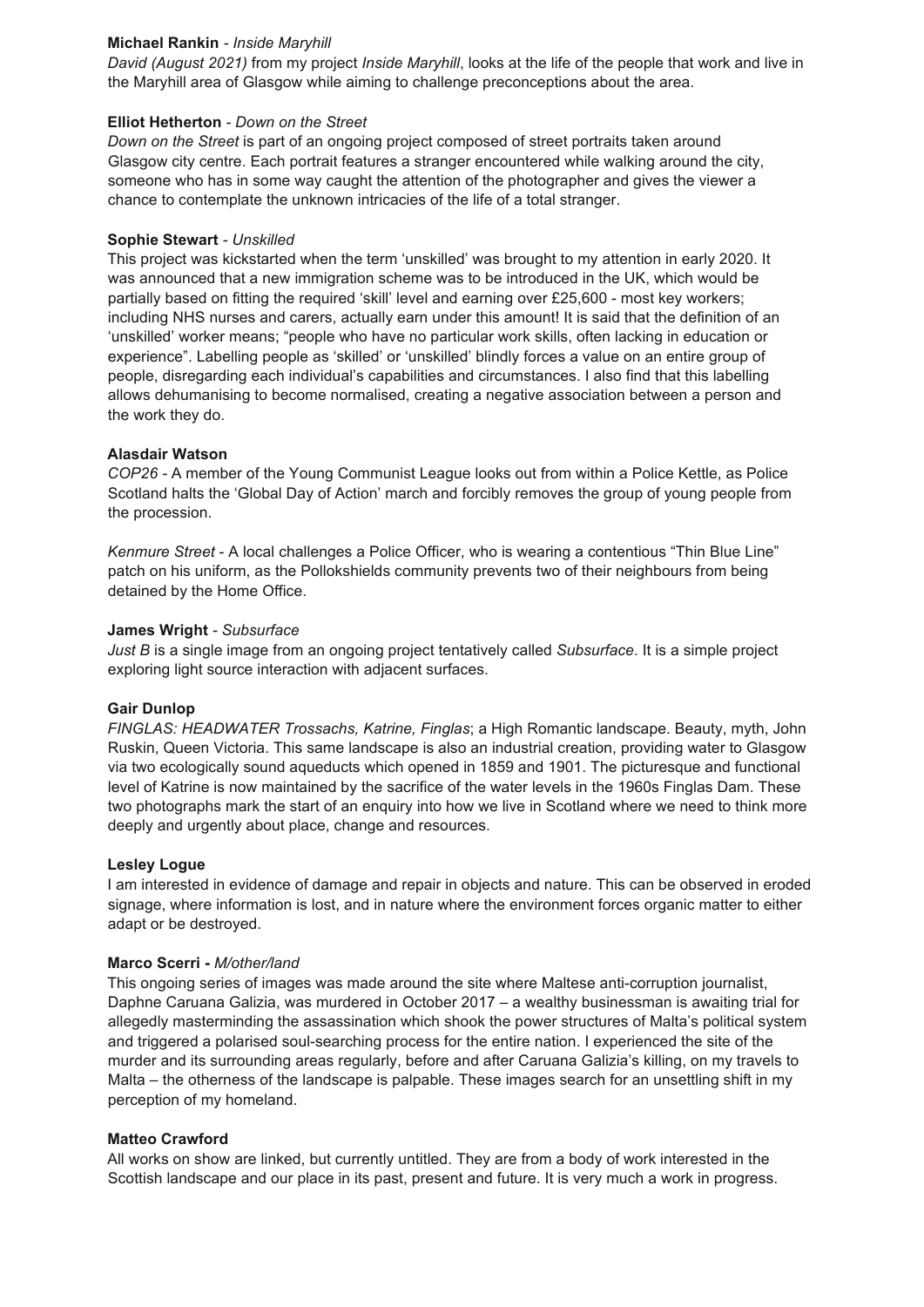### **Michael Rankin** *- Inside Maryhill*

*David (August 2021)* from my project *Inside Maryhill*, looks at the life of the people that work and live in the Maryhill area of Glasgow while aiming to challenge preconceptions about the area.

### **Elliot Hetherton** *- Down on the Street*

*Down on the Street* is part of an ongoing project composed of street portraits taken around Glasgow city centre. Each portrait features a stranger encountered while walking around the city, someone who has in some way caught the attention of the photographer and gives the viewer a chance to contemplate the unknown intricacies of the life of a total stranger.

### **Sophie Stewart** *- Unskilled*

This project was kickstarted when the term 'unskilled' was brought to my attention in early 2020. It was announced that a new immigration scheme was to be introduced in the UK, which would be partially based on fitting the required 'skill' level and earning over £25,600 - most key workers; including NHS nurses and carers, actually earn under this amount! It is said that the definition of an 'unskilled' worker means; "people who have no particular work skills, often lacking in education or experience". Labelling people as 'skilled' or 'unskilled' blindly forces a value on an entire group of people, disregarding each individual's capabilities and circumstances. I also find that this labelling allows dehumanising to become normalised, creating a negative association between a person and the work they do.

### **Alasdair Watson**

*COP26 -* A member of the Young Communist League looks out from within a Police Kettle, as Police Scotland halts the 'Global Day of Action' march and forcibly removes the group of young people from the procession.

*Kenmure Street* - A local challenges a Police Officer, who is wearing a contentious "Thin Blue Line" patch on his uniform, as the Pollokshields community prevents two of their neighbours from being detained by the Home Office.

### **James Wright** *- Subsurface*

*Just B* is a single image from an ongoing project tentatively called *Subsurface*. It is a simple project exploring light source interaction with adjacent surfaces.

### **Gair Dunlop**

*FINGLAS: HEADWATER Trossachs, Katrine, Finglas*; a High Romantic landscape. Beauty, myth, John Ruskin, Queen Victoria. This same landscape is also an industrial creation, providing water to Glasgow via two ecologically sound aqueducts which opened in 1859 and 1901. The picturesque and functional level of Katrine is now maintained by the sacrifice of the water levels in the 1960s Finglas Dam. These two photographs mark the start of an enquiry into how we live in Scotland where we need to think more deeply and urgently about place, change and resources.

### **Lesley Logue**

I am interested in evidence of damage and repair in objects and nature. This can be observed in eroded signage, where information is lost, and in nature where the environment forces organic matter to either adapt or be destroyed.

### **Marco Scerri -** *M/other/land*

This ongoing series of images was made around the site where Maltese anti-corruption journalist, Daphne Caruana Galizia, was murdered in October 2017 – a wealthy businessman is awaiting trial for allegedly masterminding the assassination which shook the power structures of Malta's political system and triggered a polarised soul-searching process for the entire nation. I experienced the site of the murder and its surrounding areas regularly, before and after Caruana Galizia's killing, on my travels to Malta – the otherness of the landscape is palpable. These images search for an unsettling shift in my perception of my homeland.

### **Matteo Crawford**

All works on show are linked, but currently untitled. They are from a body of work interested in the Scottish landscape and our place in its past, present and future. It is very much a work in progress.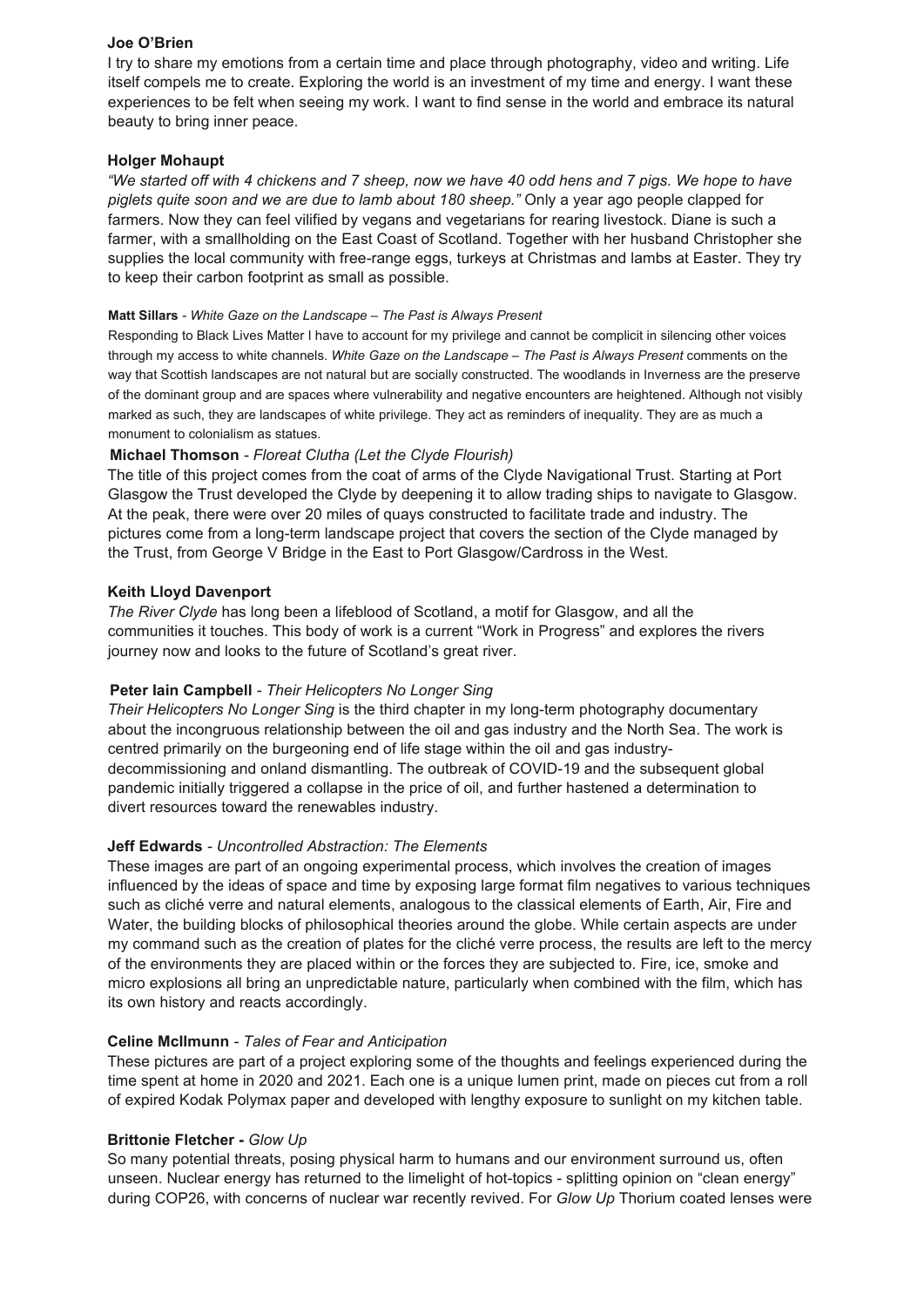### **Joe O'Brien**

I try to share my emotions from a certain time and place through photography, video and writing. Life itself compels me to create. Exploring the world is an investment of my time and energy. I want these experiences to be felt when seeing my work. I want to find sense in the world and embrace its natural beauty to bring inner peace.

### **Holger Mohaupt**

*"We started off with 4 chickens and 7 sheep, now we have 40 odd hens and 7 pigs. We hope to have piglets quite soon and we are due to lamb about 180 sheep."* Only a year ago people clapped for farmers. Now they can feel vilified by vegans and vegetarians for rearing livestock. Diane is such a farmer, with a smallholding on the East Coast of Scotland. Together with her husband Christopher she supplies the local community with free-range eggs, turkeys at Christmas and lambs at Easter. They try to keep their carbon footprint as small as possible.

### **Matt Sillars** *- White Gaze on the Landscape – The Past is Always Present*

Responding to Black Lives Matter I have to account for my privilege and cannot be complicit in silencing other voices through my access to white channels. *White Gaze on the Landscape – The Past is Always Present* comments on the way that Scottish landscapes are not natural but are socially constructed. The woodlands in Inverness are the preserve of the dominant group and are spaces where vulnerability and negative encounters are heightened. Although not visibly marked as such, they are landscapes of white privilege. They act as reminders of inequality. They are as much a monument to colonialism as statues.

# **Michael Thomson** *- Floreat Clutha (Let the Clyde Flourish)*

The title of this project comes from the coat of arms of the Clyde Navigational Trust. Starting at Port Glasgow the Trust developed the Clyde by deepening it to allow trading ships to navigate to Glasgow. At the peak, there were over 20 miles of quays constructed to facilitate trade and industry. The pictures come from a long-term landscape project that covers the section of the Clyde managed by the Trust, from George V Bridge in the East to Port Glasgow/Cardross in the West.

### **Keith Lloyd Davenport**

*The River Clyde* has long been a lifeblood of Scotland, a motif for Glasgow, and all the communities it touches. This body of work is a current "Work in Progress" and explores the rivers journey now and looks to the future of Scotland's great river.

### **Peter Iain Campbell** *- Their Helicopters No Longer Sing*

*Their Helicopters No Longer Sing* is the third chapter in my long-term photography documentary about the incongruous relationship between the oil and gas industry and the North Sea. The work is centred primarily on the burgeoning end of life stage within the oil and gas industrydecommissioning and onland dismantling. The outbreak of COVID-19 and the subsequent global pandemic initially triggered a collapse in the price of oil, and further hastened a determination to divert resources toward the renewables industry.

### **Jeff Edwards** *- Uncontrolled Abstraction: The Elements*

These images are part of an ongoing experimental process, which involves the creation of images influenced by the ideas of space and time by exposing large format film negatives to various techniques such as cliché verre and natural elements, analogous to the classical elements of Earth, Air, Fire and Water, the building blocks of philosophical theories around the globe. While certain aspects are under my command such as the creation of plates for the cliché verre process, the results are left to the mercy of the environments they are placed within or the forces they are subjected to. Fire, ice, smoke and micro explosions all bring an unpredictable nature, particularly when combined with the film, which has its own history and reacts accordingly.

### **Celine McIlmunn** *- Tales of Fear and Anticipation*

These pictures are part of a project exploring some of the thoughts and feelings experienced during the time spent at home in 2020 and 2021. Each one is a unique lumen print, made on pieces cut from a roll of expired Kodak Polymax paper and developed with lengthy exposure to sunlight on my kitchen table.

#### **Brittonie Fletcher -** *Glow Up*

So many potential threats, posing physical harm to humans and our environment surround us, often unseen. Nuclear energy has returned to the limelight of hot-topics - splitting opinion on "clean energy" during COP26, with concerns of nuclear war recently revived. For *Glow Up* Thorium coated lenses were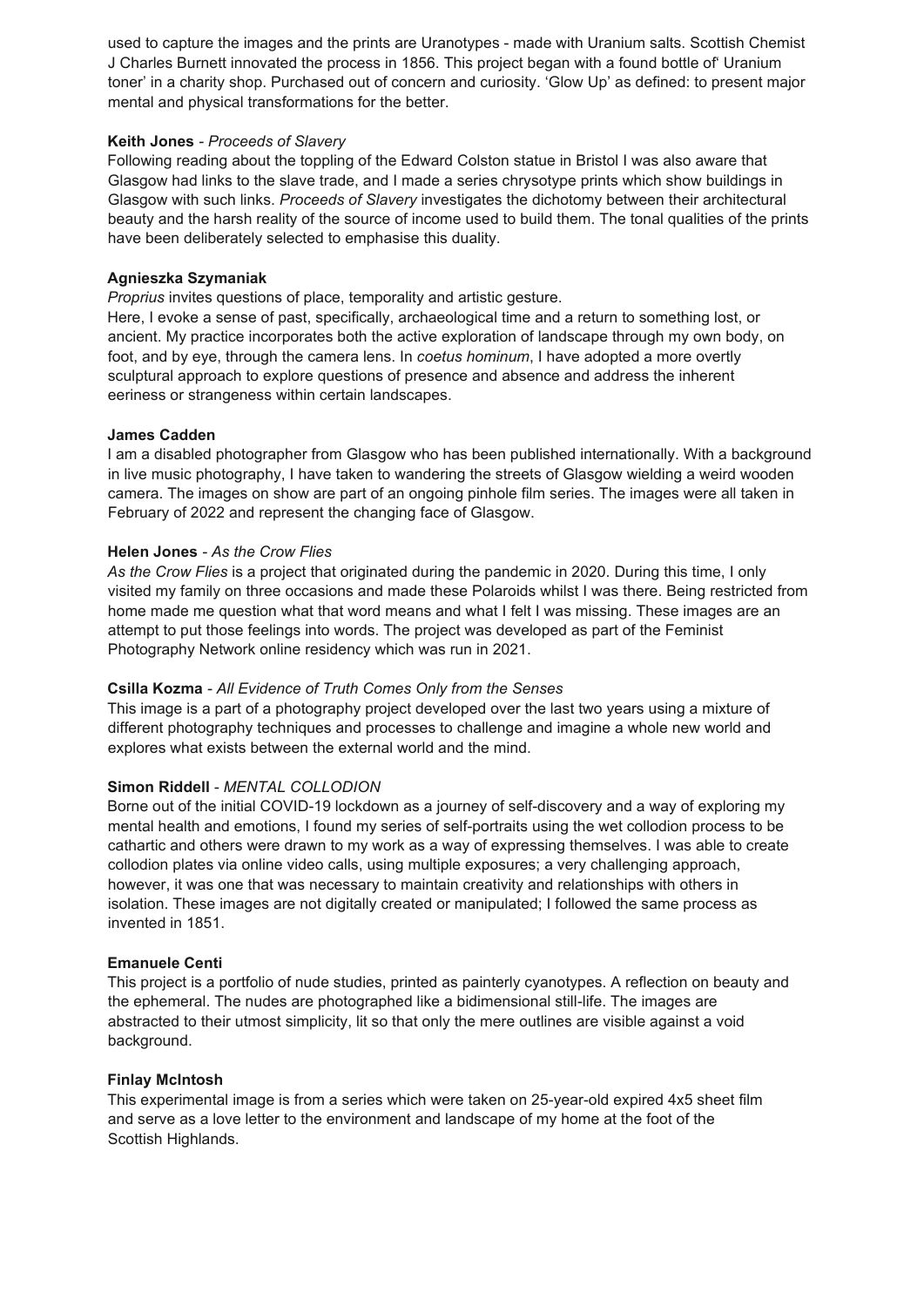used to capture the images and the prints are Uranotypes - made with Uranium salts. Scottish Chemist J Charles Burnett innovated the process in 1856. This project began with a found bottle of' Uranium toner' in a charity shop. Purchased out of concern and curiosity. 'Glow Up' as defined: to present major mental and physical transformations for the better.

### **Keith Jones** *- Proceeds of Slavery*

Following reading about the toppling of the Edward Colston statue in Bristol I was also aware that Glasgow had links to the slave trade, and I made a series chrysotype prints which show buildings in Glasgow with such links. *Proceeds of Slavery* investigates the dichotomy between their architectural beauty and the harsh reality of the source of income used to build them. The tonal qualities of the prints have been deliberately selected to emphasise this duality.

### **Agnieszka Szymaniak**

*Proprius* invites questions of place, temporality and artistic gesture.

Here, I evoke a sense of past, specifically, archaeological time and a return to something lost, or ancient. My practice incorporates both the active exploration of landscape through my own body, on foot, and by eye, through the camera lens. In *coetus hominum*, I have adopted a more overtly sculptural approach to explore questions of presence and absence and address the inherent eeriness or strangeness within certain landscapes.

### **James Cadden**

I am a disabled photographer from Glasgow who has been published internationally. With a background in live music photography, I have taken to wandering the streets of Glasgow wielding a weird wooden camera. The images on show are part of an ongoing pinhole film series. The images were all taken in February of 2022 and represent the changing face of Glasgow.

# **Helen Jones** *- As the Crow Flies*

*As the Crow Flies* is a project that originated during the pandemic in 2020. During this time, I only visited my family on three occasions and made these Polaroids whilst I was there. Being restricted from home made me question what that word means and what I felt I was missing. These images are an attempt to put those feelings into words. The project was developed as part of the Feminist Photography Network online residency which was run in 2021.

# **Csilla Kozma** *- All Evidence of Truth Comes Only from the Senses*

This image is a part of a photography project developed over the last two years using a mixture of different photography techniques and processes to challenge and imagine a whole new world and explores what exists between the external world and the mind.

# **Simon Riddell** *- MENTAL COLLODION*

Borne out of the initial COVID-19 lockdown as a journey of self-discovery and a way of exploring my mental health and emotions, I found my series of self-portraits using the wet collodion process to be cathartic and others were drawn to my work as a way of expressing themselves. I was able to create collodion plates via online video calls, using multiple exposures; a very challenging approach, however, it was one that was necessary to maintain creativity and relationships with others in isolation. These images are not digitally created or manipulated; I followed the same process as invented in 1851.

### **Emanuele Centi**

This project is a portfolio of nude studies, printed as painterly cyanotypes. A reflection on beauty and the ephemeral. The nudes are photographed like a bidimensional still-life. The images are abstracted to their utmost simplicity, lit so that only the mere outlines are visible against a void background.

### **Finlay McIntosh**

This experimental image is from a series which were taken on 25-year-old expired 4x5 sheet film and serve as a love letter to the environment and landscape of my home at the foot of the Scottish Highlands.